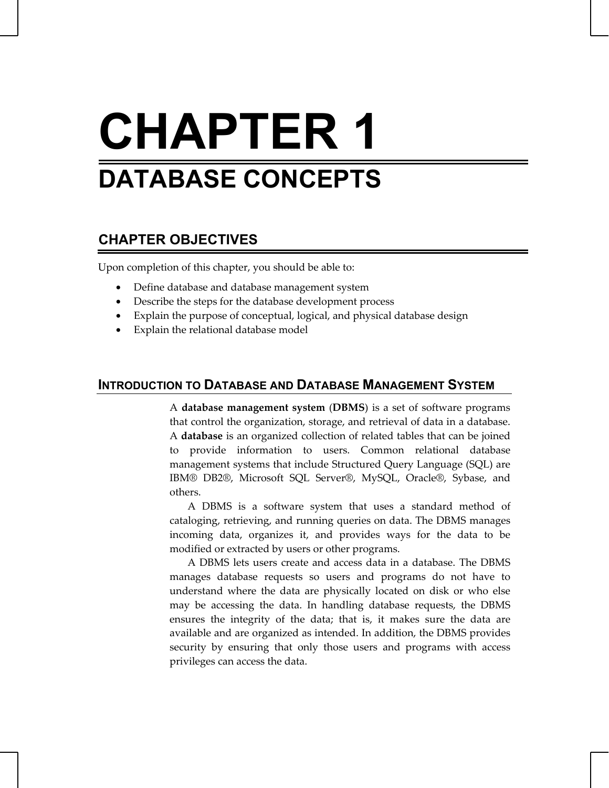# **CHAPTER 1 DATABASE CONCEPTS**

## **CHAPTER OBJECTIVES**

Upon completion of this chapter, you should be able to:

- Define database and database management system
- Describe the steps for the database development process
- Explain the purpose of conceptual, logical, and physical database design
- Explain the relational database model

## **INTRODUCTION TO DATABASE AND DATABASE MANAGEMENT SYSTEM**

A **database management system** (**DBMS**) is a set of software programs that control the organization, storage, and retrieval of data in a database. A **database** is an organized collection of related tables that can be joined to provide information to users. Common relational database management systems that include Structured Query Language (SQL) are IBM® DB2®, Microsoft SQL Server®, MySQL, Oracle®, Sybase, and others.

 A DBMS is a software system that uses a standard method of cataloging, retrieving, and running queries on data. The DBMS manages incoming data, organizes it, and provides ways for the data to be modified or extracted by users or other programs.

 A DBMS lets users create and access data in a database. The DBMS manages database requests so users and programs do not have to understand where the data are physically located on disk or who else may be accessing the data. In handling database requests, the DBMS ensures the integrity of the data; that is, it makes sure the data are available and are organized as intended. In addition, the DBMS provides security by ensuring that only those users and programs with access privileges can access the data.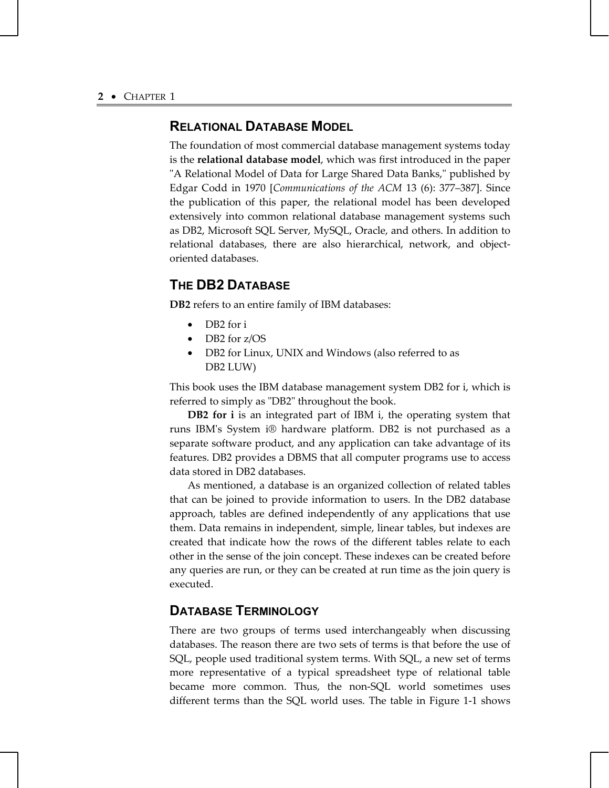## **RELATIONAL DATABASE MODEL**

The foundation of most commercial database management systems today is the **relational database model**, which was first introduced in the paper "A Relational Model of Data for Large Shared Data Banks," published by Edgar Codd in 1970 [*Communications of the ACM* 13 (6): 377–387]. Since the publication of this paper, the relational model has been developed extensively into common relational database management systems such as DB2, Microsoft SQL Server, MySQL, Oracle, and others. In addition to relational databases, there are also hierarchical, network, and objectoriented databases.

## **THE DB2 DATABASE**

**DB2** refers to an entire family of IBM databases:

- DB2 for i
- DB2 for z/OS
- DB2 for Linux, UNIX and Windows (also referred to as DB2 LUW)

This book uses the IBM database management system DB2 for i, which is referred to simply as "DB2" throughout the book.

**DB2 for i** is an integrated part of IBM i, the operating system that runs IBM's System i® hardware platform. DB2 is not purchased as a separate software product, and any application can take advantage of its features. DB2 provides a DBMS that all computer programs use to access data stored in DB2 databases.

 As mentioned, a database is an organized collection of related tables that can be joined to provide information to users. In the DB2 database approach, tables are defined independently of any applications that use them. Data remains in independent, simple, linear tables, but indexes are created that indicate how the rows of the different tables relate to each other in the sense of the join concept. These indexes can be created before any queries are run, or they can be created at run time as the join query is executed.

## **DATABASE TERMINOLOGY**

There are two groups of terms used interchangeably when discussing databases. The reason there are two sets of terms is that before the use of SQL, people used traditional system terms. With SQL, a new set of terms more representative of a typical spreadsheet type of relational table became more common. Thus, the non-SQL world sometimes uses different terms than the SQL world uses. The table in Figure 1-1 shows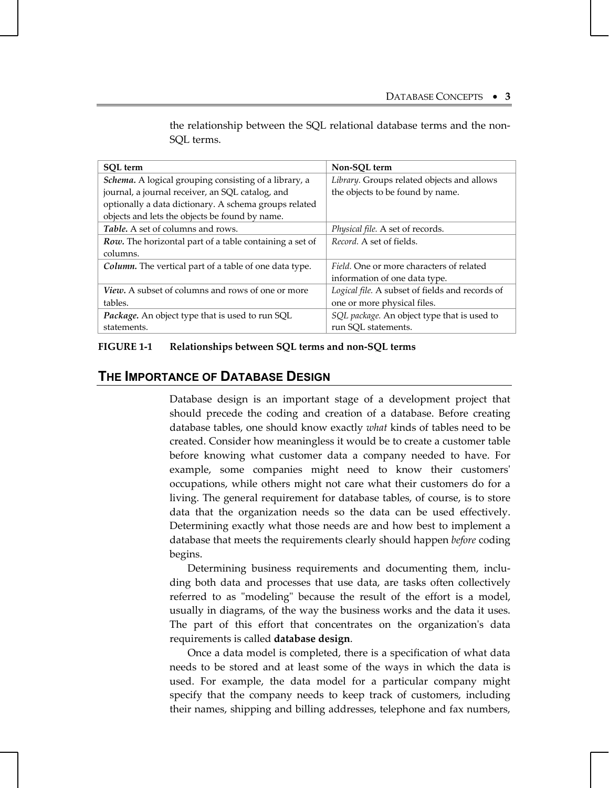| SOL term                                                     | Non-SOL term                                    |
|--------------------------------------------------------------|-------------------------------------------------|
| <i>Schema.</i> A logical grouping consisting of a library, a | Library. Groups related objects and allows      |
| journal, a journal receiver, an SQL catalog, and             | the objects to be found by name.                |
| optionally a data dictionary. A schema groups related        |                                                 |
| objects and lets the objects be found by name.               |                                                 |
| Table. A set of columns and rows.                            | Physical file. A set of records.                |
| Row. The horizontal part of a table containing a set of      | Record. A set of fields.                        |
| columns.                                                     |                                                 |
| Column. The vertical part of a table of one data type.       | Field. One or more characters of related        |
|                                                              | information of one data type.                   |
| <i>View.</i> A subset of columns and rows of one or more     | Logical file. A subset of fields and records of |
| tables.                                                      | one or more physical files.                     |
| <i>Package.</i> An object type that is used to run SQL       | SQL package. An object type that is used to     |
| statements.                                                  | run SQL statements.                             |

the relationship between the SQL relational database terms and the non-SQL terms.

#### **FIGURE 1-1 Relationships between SQL terms and non-SQL terms**

## **THE IMPORTANCE OF DATABASE DESIGN**

Database design is an important stage of a development project that should precede the coding and creation of a database. Before creating database tables, one should know exactly *what* kinds of tables need to be created. Consider how meaningless it would be to create a customer table before knowing what customer data a company needed to have. For example, some companies might need to know their customers' occupations, while others might not care what their customers do for a living. The general requirement for database tables, of course, is to store data that the organization needs so the data can be used effectively. Determining exactly what those needs are and how best to implement a database that meets the requirements clearly should happen *before* coding begins.

 Determining business requirements and documenting them, including both data and processes that use data, are tasks often collectively referred to as "modeling" because the result of the effort is a model, usually in diagrams, of the way the business works and the data it uses. The part of this effort that concentrates on the organization's data requirements is called **database design**.

 Once a data model is completed, there is a specification of what data needs to be stored and at least some of the ways in which the data is used. For example, the data model for a particular company might specify that the company needs to keep track of customers, including their names, shipping and billing addresses, telephone and fax numbers,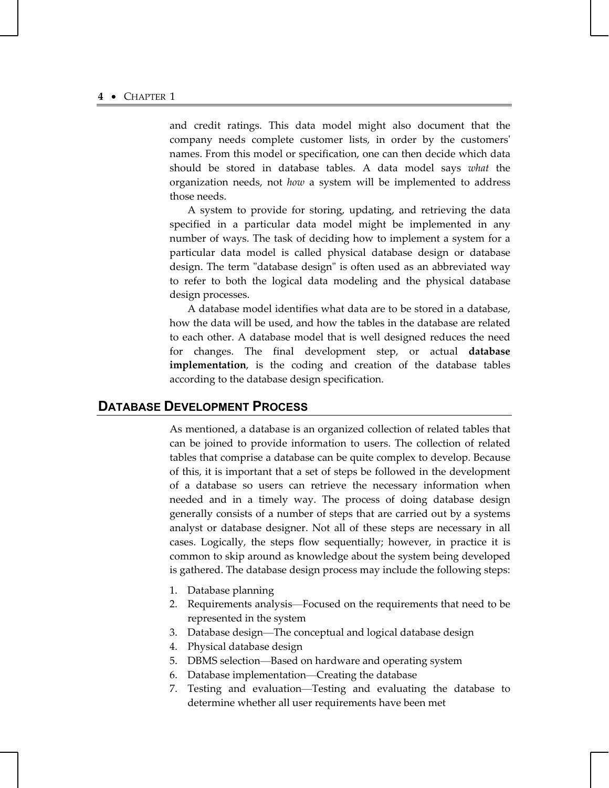and credit ratings. This data model might also document that the company needs complete customer lists, in order by the customers' names. From this model or specification, one can then decide which data should be stored in database tables. A data model says *what* the organization needs, not *how* a system will be implemented to address those needs.

 A system to provide for storing, updating, and retrieving the data specified in a particular data model might be implemented in any number of ways. The task of deciding how to implement a system for a particular data model is called physical database design or database design. The term "database design" is often used as an abbreviated way to refer to both the logical data modeling and the physical database design processes.

 A database model identifies what data are to be stored in a database, how the data will be used, and how the tables in the database are related to each other. A database model that is well designed reduces the need for changes. The final development step, or actual **database implementation**, is the coding and creation of the database tables according to the database design specification.

## **DATABASE DEVELOPMENT PROCESS**

As mentioned, a database is an organized collection of related tables that can be joined to provide information to users. The collection of related tables that comprise a database can be quite complex to develop. Because of this, it is important that a set of steps be followed in the development of a database so users can retrieve the necessary information when needed and in a timely way. The process of doing database design generally consists of a number of steps that are carried out by a systems analyst or database designer. Not all of these steps are necessary in all cases. Logically, the steps flow sequentially; however, in practice it is common to skip around as knowledge about the system being developed is gathered. The database design process may include the following steps:

- 1. Database planning
- 2. Requirements analysis—Focused on the requirements that need to be represented in the system
- 3. Database design—The conceptual and logical database design
- 4. Physical database design
- 5. DBMS selection—Based on hardware and operating system
- 6. Database implementation—Creating the database
- 7. Testing and evaluation—Testing and evaluating the database to determine whether all user requirements have been met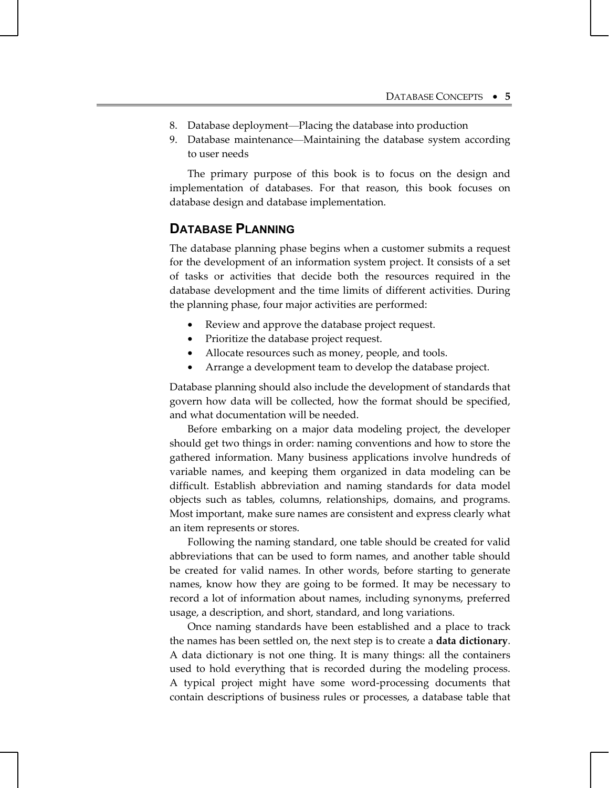- 8. Database deployment—Placing the database into production
- 9. Database maintenance—Maintaining the database system according to user needs

 The primary purpose of this book is to focus on the design and implementation of databases. For that reason, this book focuses on database design and database implementation.

## **DATABASE PLANNING**

The database planning phase begins when a customer submits a request for the development of an information system project. It consists of a set of tasks or activities that decide both the resources required in the database development and the time limits of different activities. During the planning phase, four major activities are performed:

- Review and approve the database project request.
- Prioritize the database project request.
- Allocate resources such as money, people, and tools.
- Arrange a development team to develop the database project.

Database planning should also include the development of standards that govern how data will be collected, how the format should be specified, and what documentation will be needed.

 Before embarking on a major data modeling project, the developer should get two things in order: naming conventions and how to store the gathered information. Many business applications involve hundreds of variable names, and keeping them organized in data modeling can be difficult. Establish abbreviation and naming standards for data model objects such as tables, columns, relationships, domains, and programs. Most important, make sure names are consistent and express clearly what an item represents or stores.

 Following the naming standard, one table should be created for valid abbreviations that can be used to form names, and another table should be created for valid names. In other words, before starting to generate names, know how they are going to be formed. It may be necessary to record a lot of information about names, including synonyms, preferred usage, a description, and short, standard, and long variations.

 Once naming standards have been established and a place to track the names has been settled on, the next step is to create a **data dictionary**. A data dictionary is not one thing. It is many things: all the containers used to hold everything that is recorded during the modeling process. A typical project might have some word-processing documents that contain descriptions of business rules or processes, a database table that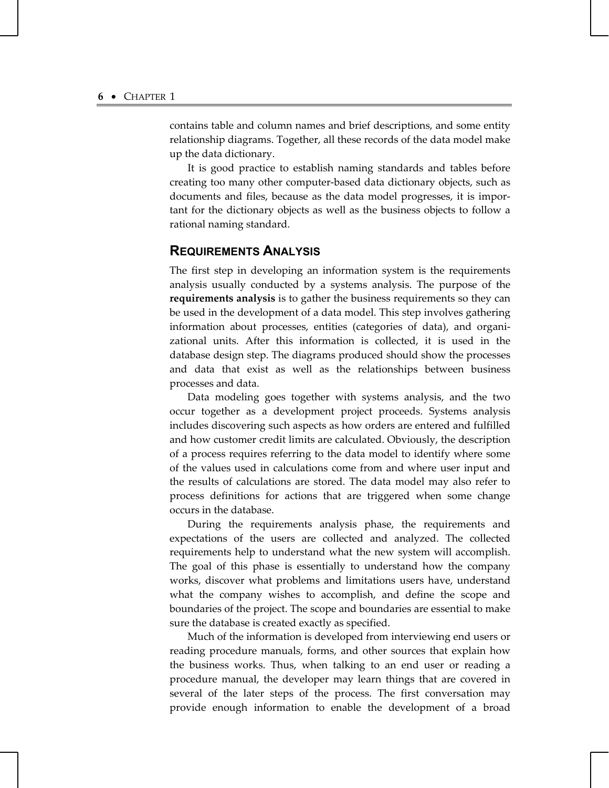contains table and column names and brief descriptions, and some entity relationship diagrams. Together, all these records of the data model make up the data dictionary.

 It is good practice to establish naming standards and tables before creating too many other computer-based data dictionary objects, such as documents and files, because as the data model progresses, it is important for the dictionary objects as well as the business objects to follow a rational naming standard.

### **REQUIREMENTS ANALYSIS**

The first step in developing an information system is the requirements analysis usually conducted by a systems analysis. The purpose of the **requirements analysis** is to gather the business requirements so they can be used in the development of a data model. This step involves gathering information about processes, entities (categories of data), and organizational units. After this information is collected, it is used in the database design step. The diagrams produced should show the processes and data that exist as well as the relationships between business processes and data.

 Data modeling goes together with systems analysis, and the two occur together as a development project proceeds. Systems analysis includes discovering such aspects as how orders are entered and fulfilled and how customer credit limits are calculated. Obviously, the description of a process requires referring to the data model to identify where some of the values used in calculations come from and where user input and the results of calculations are stored. The data model may also refer to process definitions for actions that are triggered when some change occurs in the database.

 During the requirements analysis phase, the requirements and expectations of the users are collected and analyzed. The collected requirements help to understand what the new system will accomplish. The goal of this phase is essentially to understand how the company works, discover what problems and limitations users have, understand what the company wishes to accomplish, and define the scope and boundaries of the project. The scope and boundaries are essential to make sure the database is created exactly as specified.

 Much of the information is developed from interviewing end users or reading procedure manuals, forms, and other sources that explain how the business works. Thus, when talking to an end user or reading a procedure manual, the developer may learn things that are covered in several of the later steps of the process. The first conversation may provide enough information to enable the development of a broad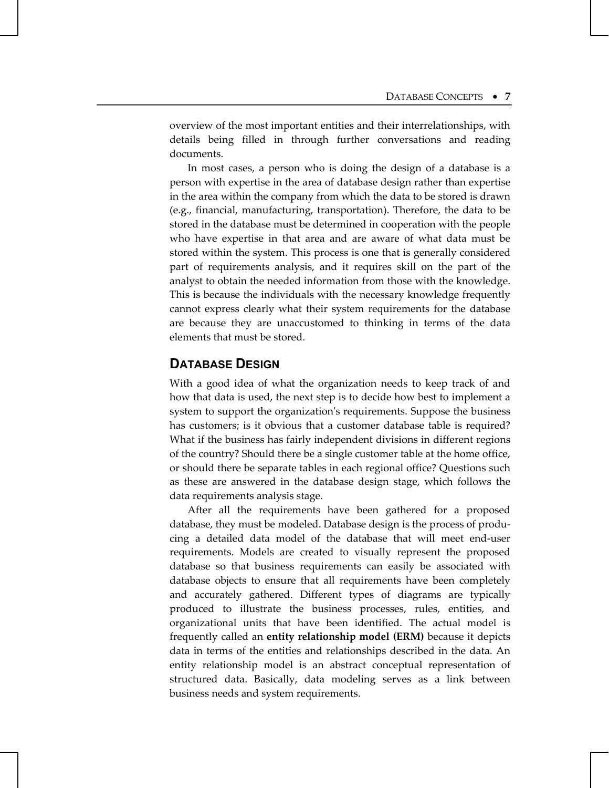overview of the most important entities and their interrelationships, with details being filled in through further conversations and reading documents.

 In most cases, a person who is doing the design of a database is a person with expertise in the area of database design rather than expertise in the area within the company from which the data to be stored is drawn (e.g., financial, manufacturing, transportation). Therefore, the data to be stored in the database must be determined in cooperation with the people who have expertise in that area and are aware of what data must be stored within the system. This process is one that is generally considered part of requirements analysis, and it requires skill on the part of the analyst to obtain the needed information from those with the knowledge. This is because the individuals with the necessary knowledge frequently cannot express clearly what their system requirements for the database are because they are unaccustomed to thinking in terms of the data elements that must be stored.

## **DATABASE DESIGN**

With a good idea of what the organization needs to keep track of and how that data is used, the next step is to decide how best to implement a system to support the organization's requirements. Suppose the business has customers; is it obvious that a customer database table is required? What if the business has fairly independent divisions in different regions of the country? Should there be a single customer table at the home office, or should there be separate tables in each regional office? Questions such as these are answered in the database design stage, which follows the data requirements analysis stage.

 After all the requirements have been gathered for a proposed database, they must be modeled. Database design is the process of producing a detailed data model of the database that will meet end-user requirements. Models are created to visually represent the proposed database so that business requirements can easily be associated with database objects to ensure that all requirements have been completely and accurately gathered. Different types of diagrams are typically produced to illustrate the business processes, rules, entities, and organizational units that have been identified. The actual model is frequently called an **entity relationship model (ERM)** because it depicts data in terms of the entities and relationships described in the data. An entity relationship model is an abstract conceptual representation of structured data. Basically, data modeling serves as a link between business needs and system requirements.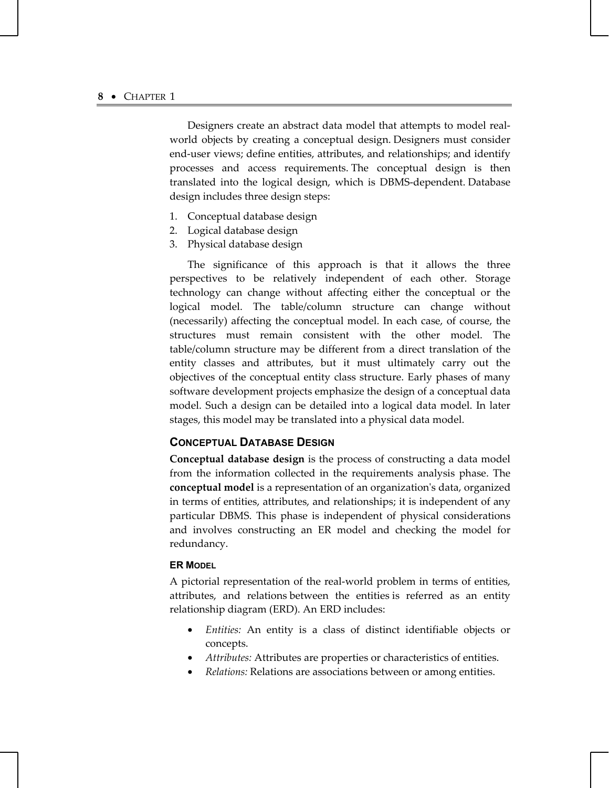Designers create an abstract data model that attempts to model realworld objects by creating a conceptual design. Designers must consider end-user views; define entities, attributes, and relationships; and identify processes and access requirements. The conceptual design is then translated into the logical design, which is DBMS-dependent. Database design includes three design steps:

- 1. Conceptual database design
- 2. Logical database design
- 3. Physical database design

 The significance of this approach is that it allows the three perspectives to be relatively independent of each other. Storage technology can change without affecting either the conceptual or the logical model. The table/column structure can change without (necessarily) affecting the conceptual model. In each case, of course, the structures must remain consistent with the other model. The table/column structure may be different from a direct translation of the entity classes and attributes, but it must ultimately carry out the objectives of the conceptual entity class structure. Early phases of many software development projects emphasize the design of a conceptual data model. Such a design can be detailed into a logical data model. In later stages, this model may be translated into a physical data model.

#### **CONCEPTUAL DATABASE DESIGN**

**Conceptual database design** is the process of constructing a data model from the information collected in the requirements analysis phase. The **conceptual model** is a representation of an organization's data, organized in terms of entities, attributes, and relationships; it is independent of any particular DBMS. This phase is independent of physical considerations and involves constructing an ER model and checking the model for redundancy.

#### **ER MODEL**

A pictorial representation of the real-world problem in terms of entities, attributes, and relations between the entities is referred as an entity relationship diagram (ERD). An ERD includes:

- *Entities:* An entity is a class of distinct identifiable objects or concepts.
- *Attributes:* Attributes are properties or characteristics of entities.
- *Relations:* Relations are associations between or among entities.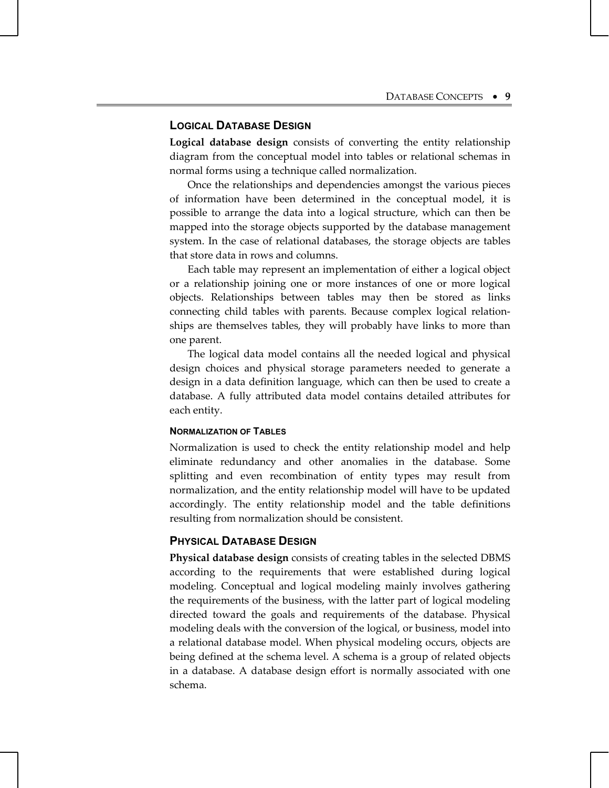#### **LOGICAL DATABASE DESIGN**

**Logical database design** consists of converting the entity relationship diagram from the conceptual model into tables or relational schemas in normal forms using a technique called normalization.

 Once the relationships and dependencies amongst the various pieces of information have been determined in the conceptual model, it is possible to arrange the data into a logical structure, which can then be mapped into the storage objects supported by the database management system. In the case of relational databases, the storage objects are tables that store data in rows and columns.

 Each table may represent an implementation of either a logical object or a relationship joining one or more instances of one or more logical objects. Relationships between tables may then be stored as links connecting child tables with parents. Because complex logical relationships are themselves tables, they will probably have links to more than one parent.

 The logical data model contains all the needed logical and physical design choices and physical storage parameters needed to generate a design in a data definition language, which can then be used to create a database. A fully attributed data model contains detailed attributes for each entity.

#### **NORMALIZATION OF TABLES**

Normalization is used to check the entity relationship model and help eliminate redundancy and other anomalies in the database. Some splitting and even recombination of entity types may result from normalization, and the entity relationship model will have to be updated accordingly. The entity relationship model and the table definitions resulting from normalization should be consistent.

#### **PHYSICAL DATABASE DESIGN**

**Physical database design** consists of creating tables in the selected DBMS according to the requirements that were established during logical modeling. Conceptual and logical modeling mainly involves gathering the requirements of the business, with the latter part of logical modeling directed toward the goals and requirements of the database. Physical modeling deals with the conversion of the logical, or business, model into a relational database model. When physical modeling occurs, objects are being defined at the schema level. A schema is a group of related objects in a database. A database design effort is normally associated with one schema.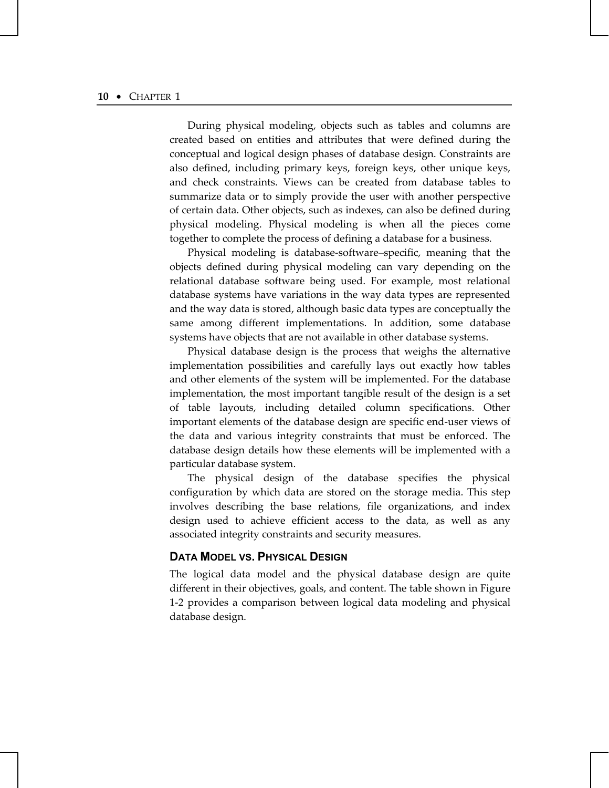During physical modeling, objects such as tables and columns are created based on entities and attributes that were defined during the conceptual and logical design phases of database design. Constraints are also defined, including primary keys, foreign keys, other unique keys, and check constraints. Views can be created from database tables to summarize data or to simply provide the user with another perspective of certain data. Other objects, such as indexes, can also be defined during physical modeling. Physical modeling is when all the pieces come together to complete the process of defining a database for a business.

 Physical modeling is database-software–specific, meaning that the objects defined during physical modeling can vary depending on the relational database software being used. For example, most relational database systems have variations in the way data types are represented and the way data is stored, although basic data types are conceptually the same among different implementations. In addition, some database systems have objects that are not available in other database systems.

 Physical database design is the process that weighs the alternative implementation possibilities and carefully lays out exactly how tables and other elements of the system will be implemented. For the database implementation, the most important tangible result of the design is a set of table layouts, including detailed column specifications. Other important elements of the database design are specific end-user views of the data and various integrity constraints that must be enforced. The database design details how these elements will be implemented with a particular database system.

 The physical design of the database specifies the physical configuration by which data are stored on the storage media. This step involves describing the base relations, file organizations, and index design used to achieve efficient access to the data, as well as any associated integrity constraints and security measures.

#### **DATA MODEL VS. PHYSICAL DESIGN**

The logical data model and the physical database design are quite different in their objectives, goals, and content. The table shown in Figure 1-2 provides a comparison between logical data modeling and physical database design.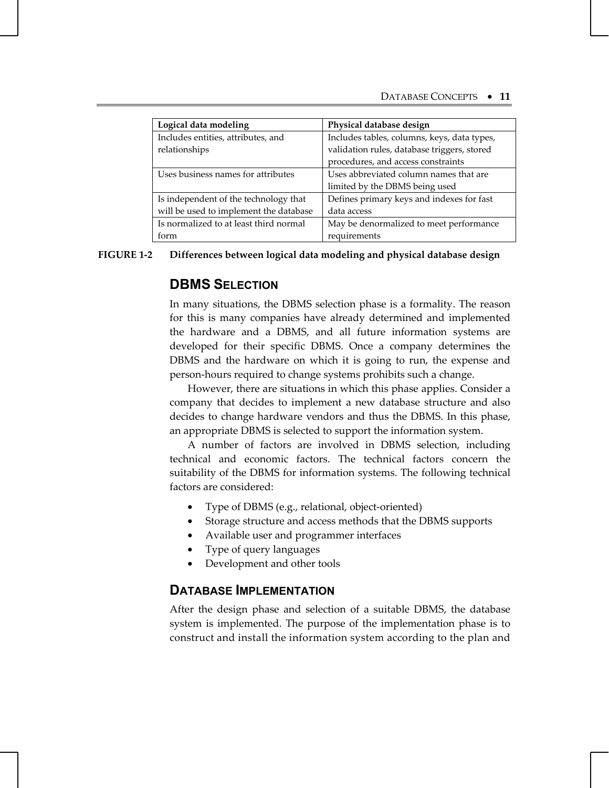| Logical data modeling                  | Physical database design                    |
|----------------------------------------|---------------------------------------------|
| Includes entities, attributes, and     | Includes tables, columns, keys, data types, |
| relationships                          | validation rules, database triggers, stored |
|                                        | procedures, and access constraints          |
| Uses business names for attributes     | Uses abbreviated column names that are      |
|                                        | limited by the DBMS being used              |
| Is independent of the technology that  | Defines primary keys and indexes for fast   |
| will be used to implement the database | data access                                 |
| Is normalized to at least third normal | May be denormalized to meet performance     |
| form                                   | requirements                                |

#### **FIGURE 1-2 Differences between logical data modeling and physical database design**

## **DBMS SELECTION**

In many situations, the DBMS selection phase is a formality. The reason for this is many companies have already determined and implemented the hardware and a DBMS, and all future information systems are developed for their specific DBMS. Once a company determines the DBMS and the hardware on which it is going to run, the expense and person-hours required to change systems prohibits such a change.

 However, there are situations in which this phase applies. Consider a company that decides to implement a new database structure and also decides to change hardware vendors and thus the DBMS. In this phase, an appropriate DBMS is selected to support the information system.

 A number of factors are involved in DBMS selection, including technical and economic factors. The technical factors concern the suitability of the DBMS for information systems. The following technical factors are considered:

- Type of DBMS (e.g., relational, object-oriented)
- Storage structure and access methods that the DBMS supports
- Available user and programmer interfaces
- Type of query languages
- Development and other tools

## **DATABASE IMPLEMENTATION**

After the design phase and selection of a suitable DBMS, the database system is implemented. The purpose of the implementation phase is to construct and install the information system according to the plan and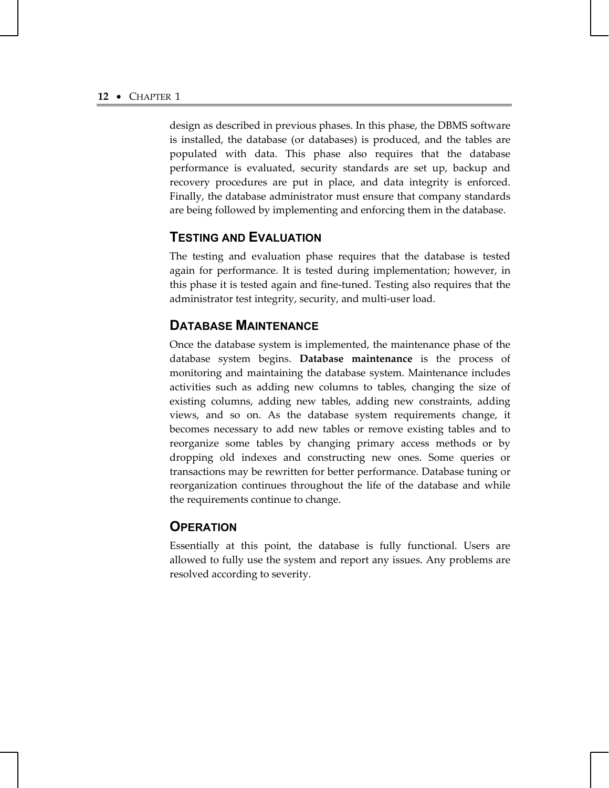design as described in previous phases. In this phase, the DBMS software is installed, the database (or databases) is produced, and the tables are populated with data. This phase also requires that the database performance is evaluated, security standards are set up, backup and recovery procedures are put in place, and data integrity is enforced. Finally, the database administrator must ensure that company standards are being followed by implementing and enforcing them in the database.

## **TESTING AND EVALUATION**

The testing and evaluation phase requires that the database is tested again for performance. It is tested during implementation; however, in this phase it is tested again and fine-tuned. Testing also requires that the administrator test integrity, security, and multi-user load.

## **DATABASE MAINTENANCE**

Once the database system is implemented, the maintenance phase of the database system begins. **Database maintenance** is the process of monitoring and maintaining the database system. Maintenance includes activities such as adding new columns to tables, changing the size of existing columns, adding new tables, adding new constraints, adding views, and so on. As the database system requirements change, it becomes necessary to add new tables or remove existing tables and to reorganize some tables by changing primary access methods or by dropping old indexes and constructing new ones. Some queries or transactions may be rewritten for better performance. Database tuning or reorganization continues throughout the life of the database and while the requirements continue to change.

## **OPERATION**

Essentially at this point, the database is fully functional. Users are allowed to fully use the system and report any issues. Any problems are resolved according to severity.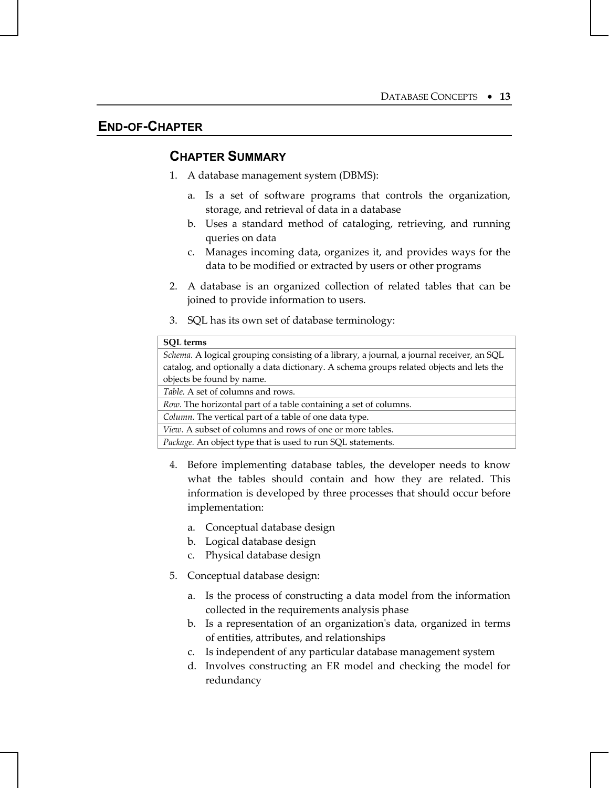## **END-OF-CHAPTER**

## **CHAPTER SUMMARY**

- 1. A database management system (DBMS):
	- a. Is a set of software programs that controls the organization, storage, and retrieval of data in a database
	- b. Uses a standard method of cataloging, retrieving, and running queries on data
	- c. Manages incoming data, organizes it, and provides ways for the data to be modified or extracted by users or other programs
- 2. A database is an organized collection of related tables that can be joined to provide information to users.
- 3. SQL has its own set of database terminology:

| <b>SOL</b> terms                                                                          |  |  |
|-------------------------------------------------------------------------------------------|--|--|
| Schema. A logical grouping consisting of a library, a journal, a journal receiver, an SQL |  |  |
| catalog, and optionally a data dictionary. A schema groups related objects and lets the   |  |  |
| objects be found by name.                                                                 |  |  |
| <i>Table.</i> A set of columns and rows.                                                  |  |  |
| Row. The horizontal part of a table containing a set of columns.                          |  |  |
| Column. The vertical part of a table of one data type.                                    |  |  |
| View. A subset of columns and rows of one or more tables.                                 |  |  |
| <i>Package.</i> An object type that is used to run SQL statements.                        |  |  |
|                                                                                           |  |  |

- 4. Before implementing database tables, the developer needs to know what the tables should contain and how they are related. This information is developed by three processes that should occur before implementation:
	- a. Conceptual database design
	- b. Logical database design
	- c. Physical database design
- 5. Conceptual database design:
	- a. Is the process of constructing a data model from the information collected in the requirements analysis phase
	- b. Is a representation of an organization's data, organized in terms of entities, attributes, and relationships
	- c. Is independent of any particular database management system
	- d. Involves constructing an ER model and checking the model for redundancy